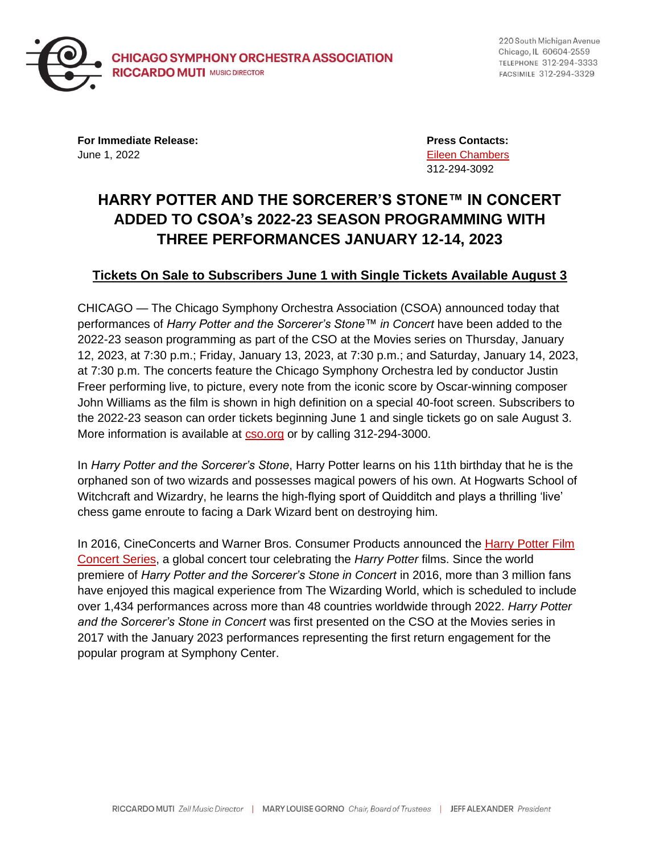

220 South Michigan Avenue Chicago, IL 60604-2559 TELEPHONE 312-294-3333 FACSIMILE 312-294-3329

**For Immediate Release: Press Contacts:** June 1, 2022 [Eileen Chambers](mailto:chamberse@cso.org)

312-294-3092

# **HARRY POTTER AND THE SORCERER'S STONE™ IN CONCERT ADDED TO CSOA's 2022-23 SEASON PROGRAMMING WITH THREE PERFORMANCES JANUARY 12-14, 2023**

## **Tickets On Sale to Subscribers June 1 with Single Tickets Available August 3**

CHICAGO — The Chicago Symphony Orchestra Association (CSOA) announced today that performances of *Harry Potter and the Sorcerer's Stone™ in Concert* have been added to the 2022-23 season programming as part of the CSO at the Movies series on Thursday, January 12, 2023, at 7:30 p.m.; Friday, January 13, 2023, at 7:30 p.m.; and Saturday, January 14, 2023, at 7:30 p.m. The concerts feature the Chicago Symphony Orchestra led by conductor Justin Freer performing live, to picture, every note from the iconic score by Oscar-winning composer John Williams as the film is shown in high definition on a special 40-foot screen. Subscribers to the 2022-23 season can order tickets beginning June 1 and single tickets go on sale August 3. More information is available at [cso.org](https://cso.org/) or by calling 312-294-3000.

In *Harry Potter and the Sorcerer's Stone*, Harry Potter learns on his 11th birthday that he is the orphaned son of two wizards and possesses magical powers of his own. At Hogwarts School of Witchcraft and Wizardry, he learns the high-flying sport of Quidditch and plays a thrilling 'live' chess game enroute to facing a Dark Wizard bent on destroying him.

In 2016, CineConcerts and Warner Bros. Consumer Products announced the [Harry Potter Film](https://www.harrypotterinconcert.com/)  [Concert Series,](https://www.harrypotterinconcert.com/) a global concert tour celebrating the *Harry Potter* films. Since the world premiere of *Harry Potter and the Sorcerer's Stone in Concert* in 2016, more than 3 million fans have enjoyed this magical experience from The Wizarding World, which is scheduled to include over 1,434 performances across more than 48 countries worldwide through 2022. *Harry Potter and the Sorcerer's Stone in Concert* was first presented on the CSO at the Movies series in 2017 with the January 2023 performances representing the first return engagement for the popular program at Symphony Center.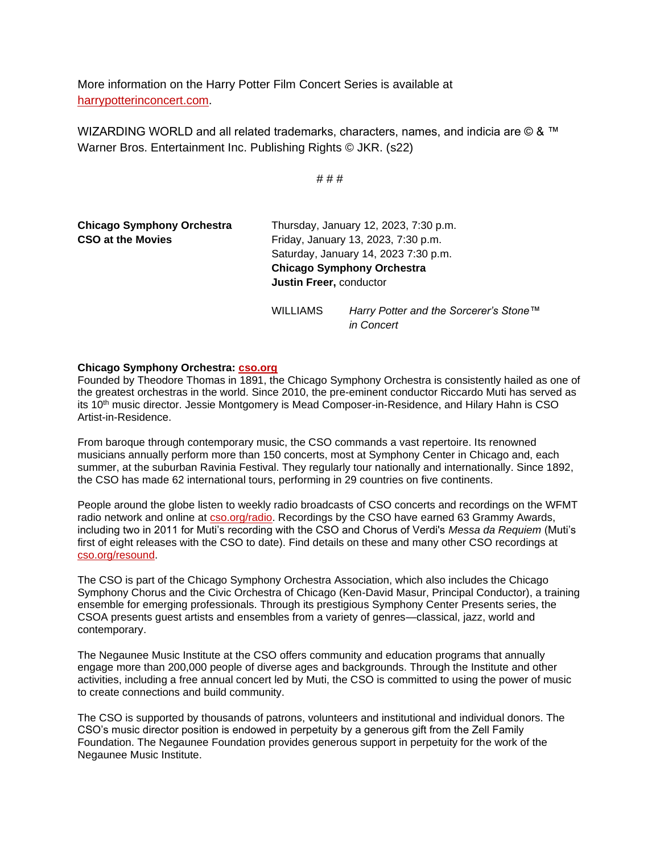More information on the Harry Potter Film Concert Series is available at [harrypotterinconcert.com.](https://www.harrypotterinconcert.com/)

WIZARDING WORLD and all related trademarks, characters, names, and indicia are © & ™ Warner Bros. Entertainment Inc. Publishing Rights © JKR. (s22)

# # #

| <b>Chicago Symphony Orchestra</b><br><b>CSO at the Movies</b> | Thursday, January 12, 2023, 7:30 p.m.<br>Friday, January 13, 2023, 7:30 p.m.<br>Saturday, January 14, 2023 7:30 p.m.<br><b>Chicago Symphony Orchestra</b><br><b>Justin Freer, conductor</b> |                                                      |
|---------------------------------------------------------------|---------------------------------------------------------------------------------------------------------------------------------------------------------------------------------------------|------------------------------------------------------|
|                                                               | <b>WILLIAMS</b>                                                                                                                                                                             | Harry Potter and the Sorcerer's Stone™<br>in Concert |

#### **Chicago Symphony Orchestra: [cso.org](http://cso.org/)**

Founded by Theodore Thomas in 1891, the Chicago Symphony Orchestra is consistently hailed as one of the greatest orchestras in the world. Since 2010, the pre-eminent conductor Riccardo Muti has served as its 10<sup>th</sup> music director. Jessie Montgomery is Mead Composer-in-Residence, and Hilary Hahn is CSO Artist-in-Residence.

From baroque through contemporary music, the CSO commands a vast repertoire. Its renowned musicians annually perform more than 150 concerts, most at Symphony Center in Chicago and, each summer, at the suburban Ravinia Festival. They regularly tour nationally and internationally. Since 1892, the CSO has made 62 international tours, performing in 29 countries on five continents.

People around the globe listen to weekly radio broadcasts of CSO concerts and recordings on the WFMT radio network and online at [cso.org/radio.](https://cso.org/radio) Recordings by the CSO have earned 63 Grammy Awards, including two in 2011 for Muti's recording with the CSO and Chorus of Verdi's *Messa da Requiem* (Muti's first of eight releases with the CSO to date). Find details on these and many other CSO recordings at [cso.org/resound.](http://www.cso.org/resound)

The CSO is part of the Chicago Symphony Orchestra Association, which also includes the Chicago Symphony Chorus and the Civic Orchestra of Chicago (Ken-David Masur, Principal Conductor), a training ensemble for emerging professionals. Through its prestigious Symphony Center Presents series, the CSOA presents guest artists and ensembles from a variety of genres—classical, jazz, world and contemporary.

The Negaunee Music Institute at the CSO offers community and education programs that annually engage more than 200,000 people of diverse ages and backgrounds. Through the Institute and other activities, including a free annual concert led by Muti, the CSO is committed to using the power of music to create connections and build community.

The CSO is supported by thousands of patrons, volunteers and institutional and individual donors. The CSO's music director position is endowed in perpetuity by a generous gift from the Zell Family Foundation. The Negaunee Foundation provides generous support in perpetuity for the work of the Negaunee Music Institute.